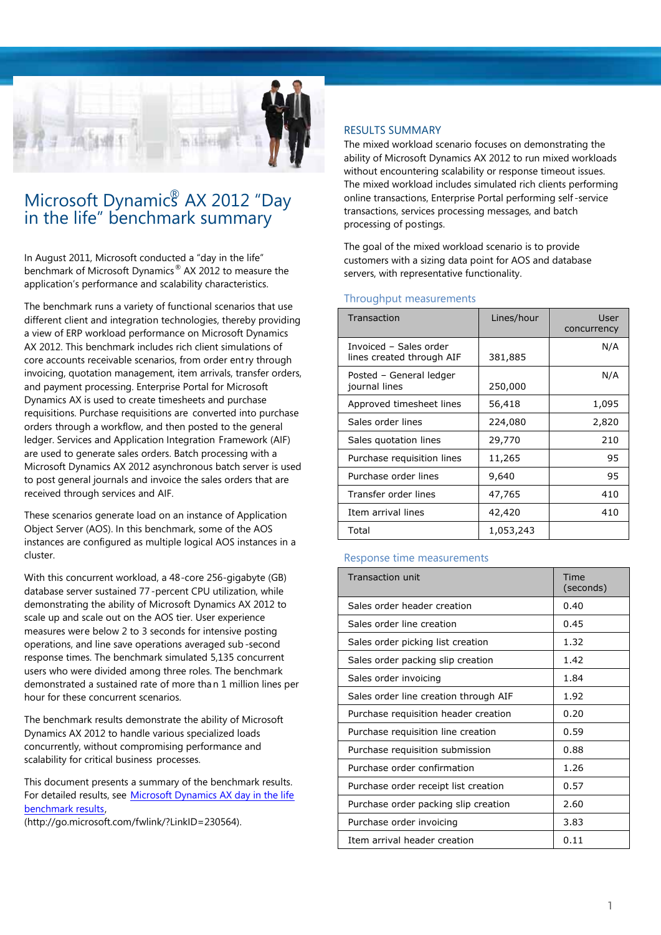

### Microsoft Dynamic<sup>®</sup> AX 2012 "Day in the life" benchmark summary

In August 2011, Microsoft conducted a "day in the life" benchmark of Microsoft Dynamics® AX 2012 to measure the application's performance and scalability characteristics.

The benchmark runs a variety of functional scenarios that use different client and integration technologies, thereby providing a view of ERP workload performance on Microsoft Dynamics AX 2012. This benchmark includes rich client simulations of core accounts receivable scenarios, from order entry through invoicing, quotation management, item arrivals, transfer orders, and payment processing. Enterprise Portal for Microsoft Dynamics AX is used to create timesheets and purchase requisitions. Purchase requisitions are converted into purchase orders through a workflow, and then posted to the general ledger. Services and Application Integration Framework (AIF) are used to generate sales orders. Batch processing with a Microsoft Dynamics AX 2012 asynchronous batch server is used to post general journals and invoice the sales orders that are received through services and AIF.

These scenarios generate load on an instance of Application Object Server (AOS). In this benchmark, some of the AOS instances are configured as multiple logical AOS instances in a cluster.

With this concurrent workload, a 48-core 256-gigabyte (GB) database server sustained 77-percent CPU utilization, while demonstrating the ability of Microsoft Dynamics AX 2012 to scale up and scale out on the AOS tier. User experience measures were below 2 to 3 seconds for intensive posting operations, and line save operations averaged sub -second response times. The benchmark simulated 5,135 concurrent users who were divided among three roles. The benchmark demonstrated a sustained rate of more than 1 million lines per hour for these concurrent scenarios.

The benchmark results demonstrate the ability of Microsoft Dynamics AX 2012 to handle various specialized loads concurrently, without compromising performance and scalability for critical business processes.

This document presents a summary of the benchmark results. For detailed results, see Microsoft Dynamics AX day in the life [benchmark](http://go.microsoft.com/fwlink/?LinkID=230564) results,

(http://go.microsoft.com/fwlink/?LinkID=230564).

### RESULTS SUMMARY

The mixed workload scenario focuses on demonstrating the ability of Microsoft Dynamics AX 2012 to run mixed workloads without encountering scalability or response timeout issues. The mixed workload includes simulated rich clients performing online transactions, Enterprise Portal performing self-service transactions, services processing messages, and batch processing of postings.

The goal of the mixed workload scenario is to provide customers with a sizing data point for AOS and database servers, with representative functionality.

### Throughput measurements

| Transaction                                         | Lines/hour | User<br>concurrency |
|-----------------------------------------------------|------------|---------------------|
| Invoiced - Sales order<br>lines created through AIF | 381,885    | N/A                 |
| Posted - General ledger<br>journal lines            | 250,000    | N/A                 |
| Approved timesheet lines                            | 56,418     | 1,095               |
| Sales order lines                                   | 224,080    | 2,820               |
| Sales quotation lines                               | 29,770     | 210                 |
| Purchase requisition lines                          | 11,265     | 95                  |
| Purchase order lines                                | 9,640      | 95                  |
| Transfer order lines                                | 47,765     | 410                 |
| Item arrival lines                                  | 42,420     | 410                 |
| Total                                               | 1,053,243  |                     |

### Response time measurements

| <b>Transaction unit</b>               | Time<br>(seconds) |
|---------------------------------------|-------------------|
| Sales order header creation           | 0.40              |
| Sales order line creation             | 0.45              |
| Sales order picking list creation     | 1.32              |
| Sales order packing slip creation     | 1.42              |
| Sales order invoicing                 | 1.84              |
| Sales order line creation through AIF | 1.92              |
| Purchase requisition header creation  | 0.20              |
| Purchase requisition line creation    | 0.59              |
| Purchase requisition submission       | 0.88              |
| Purchase order confirmation           | 1.26              |
| Purchase order receipt list creation  | 0.57              |
| Purchase order packing slip creation  | 2.60              |
| Purchase order invoicing              | 3.83              |
| Item arrival header creation          | 0.11              |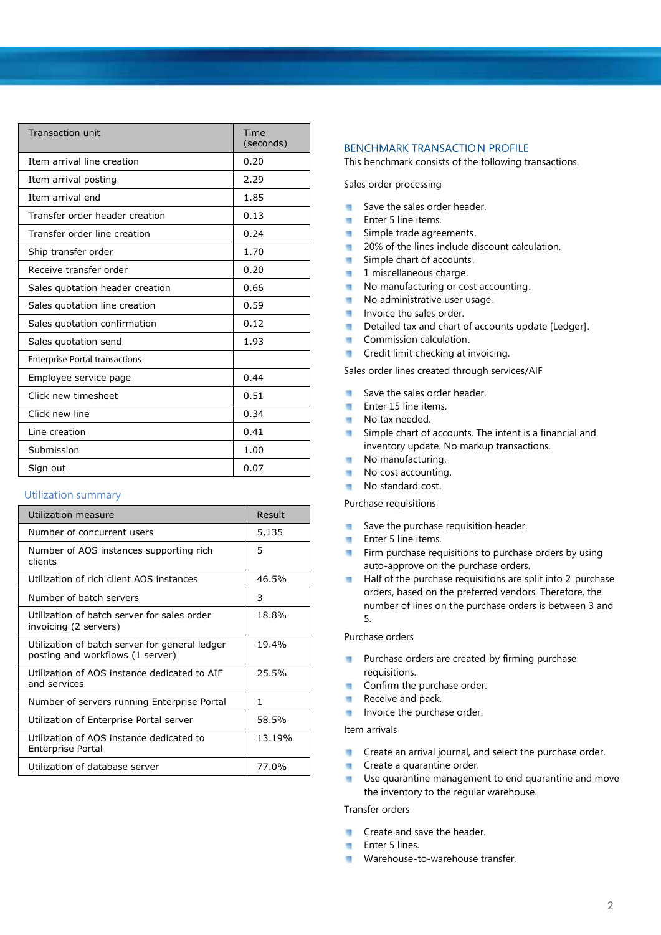| <b>Transaction unit</b>               | Time<br>(seconds) |
|---------------------------------------|-------------------|
| Item arrival line creation            | 0.20              |
| Item arrival posting                  | 2.29              |
| Item arrival end                      | 1.85              |
| Transfer order header creation        | 0.13              |
| Transfer order line creation          | 0.24              |
| Ship transfer order                   | 1.70              |
| Receive transfer order                | 0.20              |
| Sales quotation header creation       | 0.66              |
| Sales quotation line creation         | 0.59              |
| Sales quotation confirmation          | 0.12              |
| Sales quotation send                  | 1.93              |
| <b>Enterprise Portal transactions</b> |                   |
| Employee service page                 | 0.44              |
| Click new timesheet                   | 0.51              |
| Click new line                        | 0.34              |
| Line creation                         | 0.41              |
| Submission                            | 1.00              |
| Sign out                              | 0.07              |

### Utilization summary

| Utilization measure                                                                | Result |
|------------------------------------------------------------------------------------|--------|
| Number of concurrent users                                                         | 5,135  |
| Number of AOS instances supporting rich<br>clients                                 | 5      |
| Utilization of rich client AOS instances                                           | 46.5%  |
| Number of batch servers                                                            | 3      |
| Utilization of batch server for sales order<br>invoicing (2 servers)               | 18.8%  |
| Utilization of batch server for general ledger<br>posting and workflows (1 server) | 19.4%  |
| Utilization of AOS instance dedicated to AIF<br>and services                       | 25.5%  |
| Number of servers running Enterprise Portal                                        | 1      |
| Utilization of Enterprise Portal server                                            | 58.5%  |
| Utilization of AOS instance dedicated to<br><b>Enterprise Portal</b>               | 13.19% |
| Utilization of database server                                                     | 77.0%  |

### BENCHMARK TRANSACTION PROFILE

This benchmark consists of the following transactions.

Sales order processing

- Save the sales order header.  $\blacksquare$
- **Enter 5 line items.**
- Simple trade agreements.  $\blacksquare$
- 20% of the lines include discount calculation.  $\blacksquare$
- Simple chart of accounts.  $\mathcal{L}$
- $\overline{\phantom{a}}$ 1 miscellaneous charge.
- No manufacturing or cost accounting.  $\blacksquare$
- No administrative user usage.  $\blacksquare$
- Invoice the sales order.
- Detailed tax and chart of accounts update [Ledger].
- **Commission calculation.**
- **Credit limit checking at invoicing.**

Sales order lines created through services/AIF

- $\overline{\phantom{a}}$ Save the sales order header.
- Enter 15 line items.  $\overline{\phantom{a}}$
- No tax needed.
- Simple chart of accounts. The intent is a financial and  $\blacksquare$ inventory update. No markup transactions.
- No manufacturing.  $\blacksquare$
- ٠ No cost accounting.
- No standard cost. п

Purchase requisitions

- п Save the purchase requisition header.
- $\blacksquare$ Enter 5 line items.
- Firm purchase requisitions to purchase orders by using  $\mathbf{u}$ auto-approve on the purchase orders.
- Half of the purchase requisitions are split into 2 purchase orders, based on the preferred vendors. Therefore, the number of lines on the purchase orders is between 3 and 5.

### Purchase orders

- Purchase orders are created by firming purchase m requisitions.
- Confirm the purchase order. m
- Receive and pack.  $\overline{\phantom{a}}$
- Invoice the purchase order.

### Item arrivals

- Create an arrival journal, and select the purchase order. и
- Create a quarantine order. ×,
- Use quarantine management to end quarantine and move the inventory to the regular warehouse.

### Transfer orders

- Create and save the header. ×
- Enter 5 lines.
- Warehouse-to-warehouse transfer.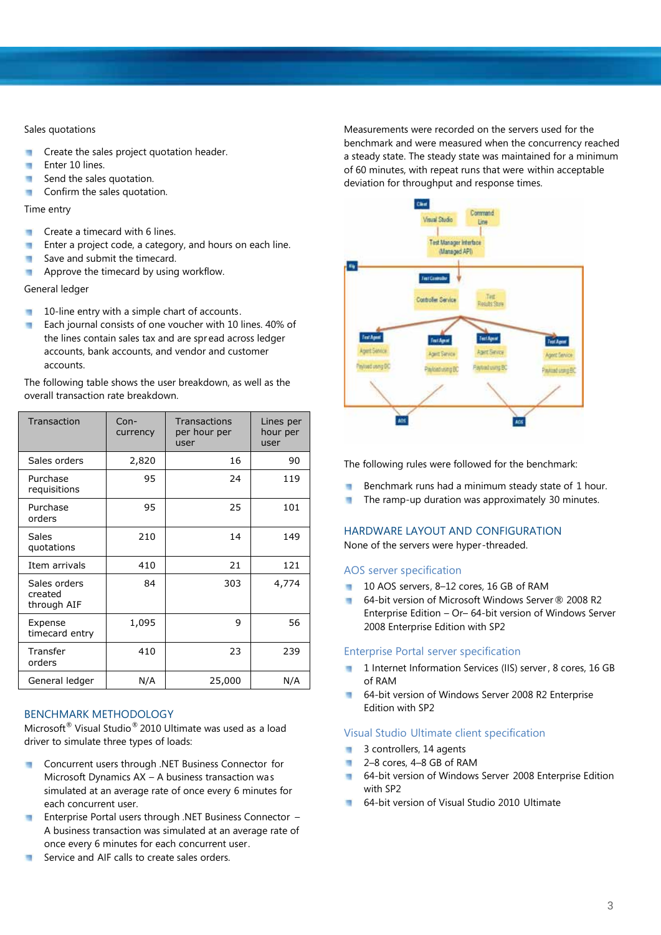### Sales quotations

- ۵ Create the sales project quotation header.
- u Enter 10 lines.
- Send the sales quotation. ٠
- Confirm the sales quotation. п

### Time entry

- Create a timecard with 6 lines. ٠
- Enter a project code, a category, and hours on each line. ٠
- Save and submit the timecard. п
- Approve the timecard by using workflow. п

### General ledger

- 10-line entry with a simple chart of accounts. и
- Each journal consists of one voucher with 10 lines. 40% of п the lines contain sales tax and are spr ead across ledger accounts, bank accounts, and vendor and customer accounts.

The following table shows the user breakdown, as well as the overall transaction rate breakdown.

| Transaction                            | $Con-$<br>currency | Transactions<br>per hour per<br>user | Lines per<br>hour per<br>user |
|----------------------------------------|--------------------|--------------------------------------|-------------------------------|
| Sales orders                           | 2,820              | 16                                   | 90                            |
| Purchase<br>requisitions               | 95                 | 24                                   | 119                           |
| Purchase<br>orders                     | 95                 | 25                                   | 101                           |
| Sales<br>quotations                    | 210                | 14                                   | 149                           |
| Item arrivals                          | 410                | 21                                   | 121                           |
| Sales orders<br>created<br>through AIF | 84                 | 303                                  | 4,774                         |
| Expense<br>timecard entry              | 1,095              | 9                                    | 56                            |
| Transfer<br>orders                     | 410                | 23                                   | 239                           |
| General ledger                         | N/A                | 25,000                               | N/A                           |

### BENCHMARK METHODOLOGY

Microsoft ® Visual Studio® 2010 Ultimate was used as a load driver to simulate three types of loads:

- Concurrent users through .NET Business Connector for  $\mathcal{L}_{\mathcal{A}}$ Microsoft Dynamics AX – A business transaction was simulated at an average rate of once every 6 minutes for each concurrent user.
- Enterprise Portal users through .NET Business Connector **COL** A business transaction was simulated at an average rate of once every 6 minutes for each concurrent user.
- Service and AIF calls to create sales orders. m

Measurements were recorded on the servers used for the benchmark and were measured when the concurrency reached a steady state. The steady state was maintained for a minimum of 60 minutes, with repeat runs that were within acceptable deviation for throughput and response times.



The following rules were followed for the benchmark:

- Benchmark runs had a minimum steady state of 1 hour. m
- The ramp-up duration was approximately 30 minutes. и

### HARDWARE LAYOUT AND CONFIGURATION

None of the servers were hyper-threaded.

### AOS server specification

- 10 AOS servers, 8-12 cores, 16 GB of RAM
- $\overline{\phantom{a}}$ 64-bit version of Microsoft Windows Server ® 2008 R2 Enterprise Edition – Or– 64-bit version of Windows Server 2008 Enterprise Edition with SP2

### Enterprise Portal server specification

- 1 Internet Information Services (IIS) server, 8 cores, 16 GB of RAM
- 64-bit version of Windows Server 2008 R2 Enterprise ш Edition with SP2

### Visual Studio Ultimate client specification

- 3 controllers, 14 agents ×
- 2–8 cores, 4–8 GB of RAM  $\overline{\phantom{a}}$
- 64-bit version of Windows Server 2008 Enterprise Edition with SP2
- **64-bit version of Visual Studio 2010 Ultimate**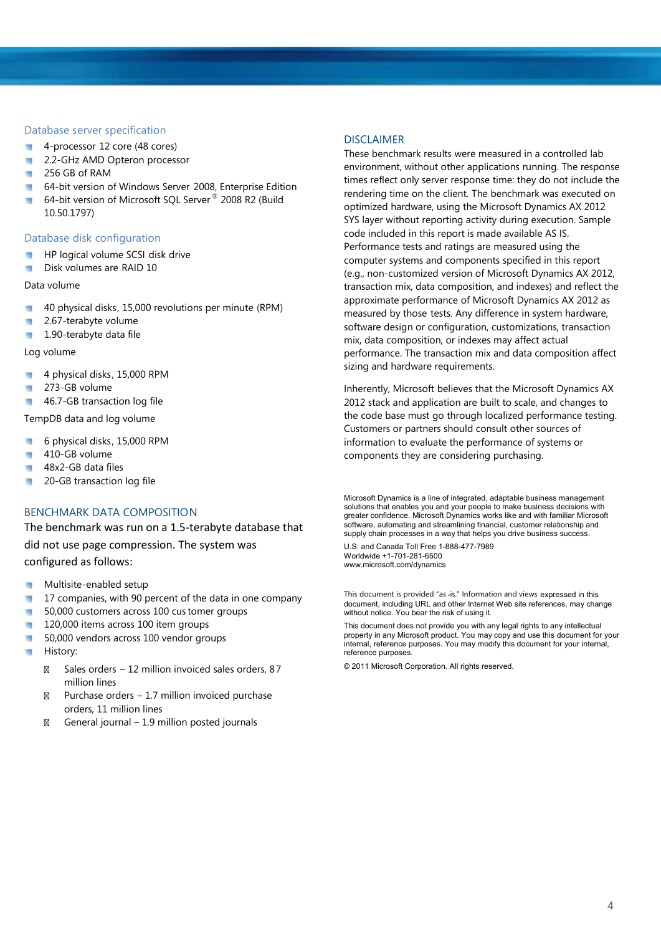### Database server specification

- 4-processor 12 core (48 cores) ۰
- 2.2-GHz AMD Opteron processor ۰
- 256 GB of RAM и
- 64-bit version of Windows Server 2008, Enterprise Edition u
- n, 64-bit version of Microsoft SQL Server ® 2008 R2 (Build 10.50.1797)

### Database disk configuration

- HP logical volume SCSI disk drive
- Disk volumes are RAID 10 ٠

### Data volume

- ä 40 physical disks, 15,000 revolutions per minute (RPM)
- 2.67-terabyte volume u
- 1.90-terabyte data file и

### Log volume

- 4 physical disks, 15,000 RPM m
- 273-GB volume ×
- п 46.7-GB transaction log file

TempDB data and log volume

- 6 physical disks, 15,000 RPM ۰
- 410-GB volume ۳
- 48x2-GB data files ۳
- 20-GB transaction log file ٠

### BENCHMARK DATA COMPOSITION

The benchmark was run on a 1.5-terabyte database that did not use page compression. The system was configured as follows:

- Multisite-enabled setup
- 17 companies, with 90 percent of the data in one company ۳
- 50,000 customers across 100 customer groups ٠
- 120,000 items across 100 item groups ш
- 50,000 vendors across 100 vendor groups U)
- History: u

Sales orders – 12 million invoiced sales orders, 87 million lines Purchase orders – 1.7 million invoiced purchase orders, 11 million lines General journal – 1.9 million posted journals

### DISCLAIMER

These benchmark results were measured in a controlled lab environment, without other applications running. The response times reflect only server response time: they do not include the rendering time on the client. The benchmark was executed on optimized hardware, using the Microsoft Dynamics AX 2012 SYS layer without reporting activity during execution. Sample code included in this report is made available AS IS. Performance tests and ratings are measured using the computer systems and components specified in this report (e.g., non-customized version of Microsoft Dynamics AX 2012, transaction mix, data composition, and indexes) and reflect the approximate performance of Microsoft Dynamics AX 2012 as measured by those tests. Any difference in system hardware, software design or configuration, customizations, transaction mix, data composition, or indexes may affect actual performance. The transaction mix and data composition affect sizing and hardware requirements.

Inherently, Microsoft believes that the Microsoft Dynamics AX 2012 stack and application are built to scale, and changes to the code base must go through localized performance testing. Customers or partners should consult other sources of information to evaluate the performance of systems or components they are considering purchasing.

Microsoft Dynamics is a line of integrated, adaptable business management solutions that enables you and your people to make business decisions with greater confidence. Microsoft Dynamics works like and with familiar Microsoft software, automating and streamlining financial, customer relationship and supply chain processes in a way that helps you drive business success.

U.S. and Canada Toll Free 1-888-477-7989 Worldwide +1-701-281-6500 www.microsoft.com/dynamics

This document is provided "as -is." Information and views expressed in this document, including URL and other Internet Web site references, may change without notice. You bear the risk of using it.

This document does not provide you with any legal rights to any intellectual property in any Microsoft product. You may copy and use this document for your internal, reference purposes. You may modify this document for your internal, reference purposes.

© 2011 Microsoft Corporation. All rights reserved.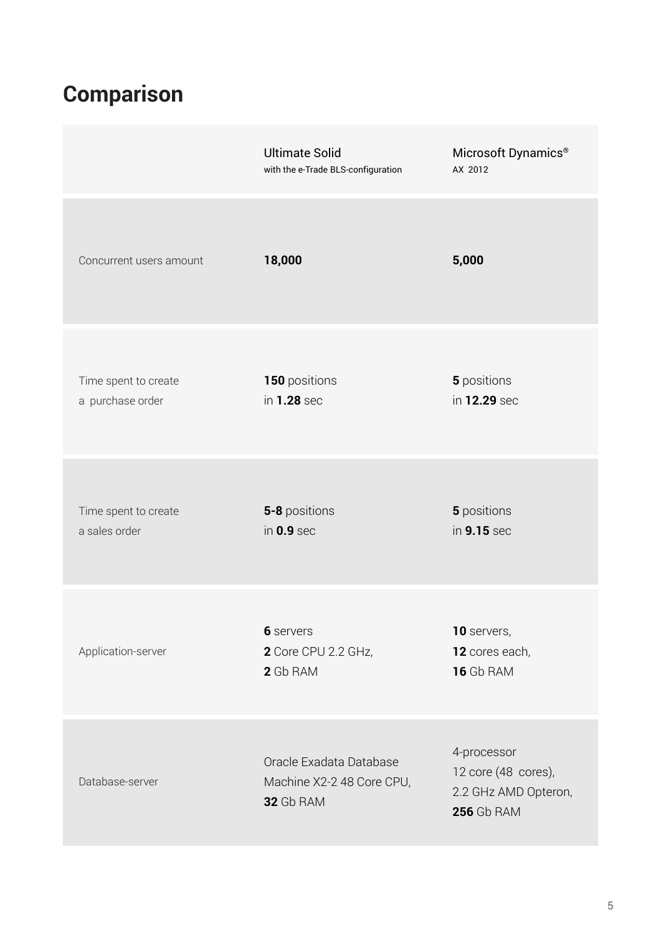# **Comparison**

|                                          | <b>Ultimate Solid</b><br>with the e-Trade BLS-configuration       | Microsoft Dynamics <sup>®</sup><br>AX 2012                                      |
|------------------------------------------|-------------------------------------------------------------------|---------------------------------------------------------------------------------|
| Concurrent users amount                  | 18,000                                                            | 5,000                                                                           |
| Time spent to create<br>a purchase order | 150 positions<br>in 1.28 sec                                      | 5 positions<br>in 12.29 sec                                                     |
| Time spent to create<br>a sales order    | 5-8 positions<br>in $0.9$ sec                                     | 5 positions<br>in 9.15 sec                                                      |
| Application-server                       | 6 servers<br>2 Core CPU 2.2 GHz,<br>2 Gb RAM                      | 10 servers,<br>12 cores each,<br><b>16</b> Gb RAM                               |
| Database-server                          | Oracle Exadata Database<br>Machine X2-2 48 Core CPU,<br>32 Gb RAM | 4-processor<br>12 core (48 cores),<br>2.2 GHz AMD Opteron,<br><b>256 Gb RAM</b> |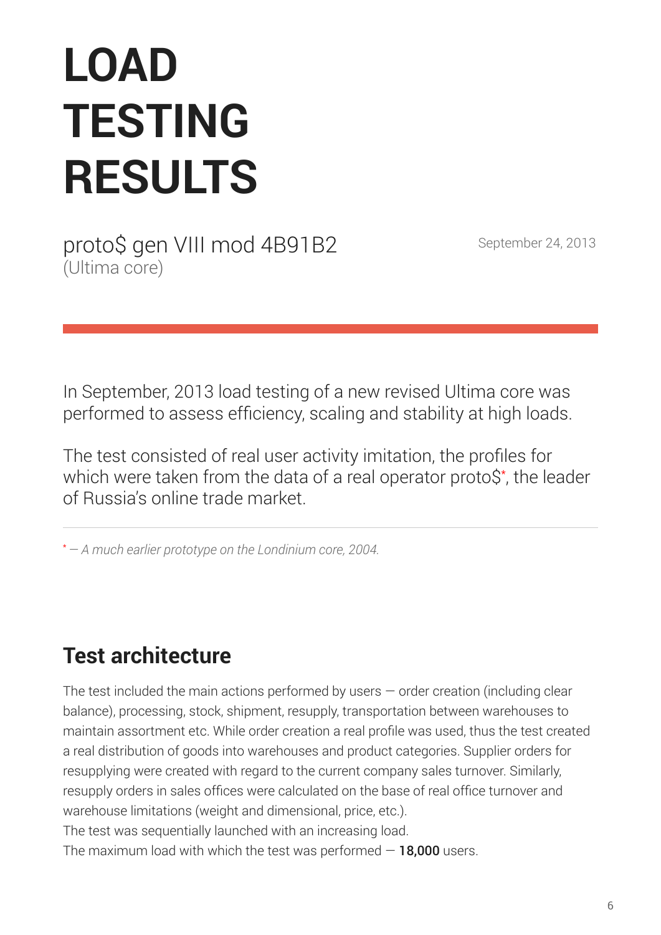# **LOAD TESTING RESULTS**

proto\$ gen VIII mod 4B91B2 September 24, 2013 (Ultima core)

In September, 2013 load testing of a new revised Ultima core was performed to assess efficiency, scaling and stability at high loads.

The test consisted of real user activity imitation, the profiles for which were taken from the data of a real operator proto\$\* , the leader of Russia's online trade market.

\**— A much earlier prototype on the Londinium core, 2004.*

# **Test architecture**

The test included the main actions performed by users  $-$  order creation (including clear balance), processing, stock, shipment, resupply, transportation between warehouses to maintain assortment etc. While order creation a real profile was used, thus the test created a real distribution of goods into warehouses and product categories. Supplier orders for resupplying were created with regard to the current company sales turnover. Similarly, resupply orders in sales offices were calculated on the base of real office turnover and warehouse limitations (weight and dimensional, price, etc.).

The test was sequentially launched with an increasing load.

The maximum load with which the test was performed  $-18,000$  users.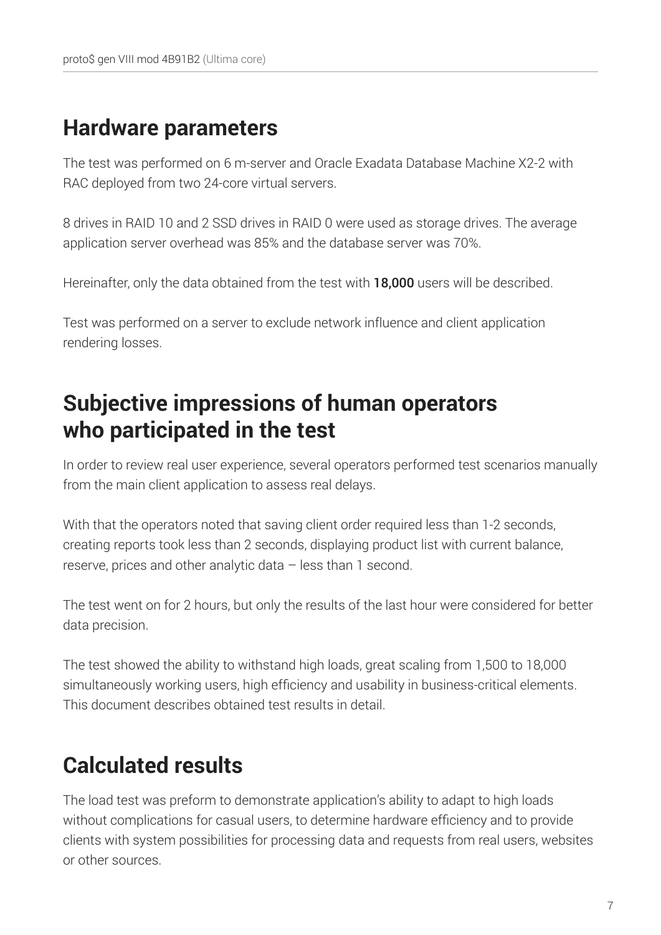# **Hardware parameters**

The test was performed on 6 m-server and Oracle Exadata Database Machine X2-2 with RAC deployed from two 24-core virtual servers.

8 drives in RAID 10 and 2 SSD drives in RAID 0 were used as storage drives. The average application server overhead was 85% and the database server was 70%.

Hereinafter, only the data obtained from the test with 18,000 users will be described.

Test was performed on a server to exclude network influence and client application rendering losses.

# **Subjective impressions of human operators who participated in the test**

In order to review real user experience, several operators performed test scenarios manually from the main client application to assess real delays.

With that the operators noted that saving client order required less than 1-2 seconds, creating reports took less than 2 seconds, displaying product list with current balance, reserve, prices and other analytic data – less than 1 second.

The test went on for 2 hours, but only the results of the last hour were considered for better data precision.

The test showed the ability to withstand high loads, great scaling from 1,500 to 18,000 simultaneously working users, high efficiency and usability in business-critical elements. This document describes obtained test results in detail.

# **Calculated results**

The load test was preform to demonstrate application's ability to adapt to high loads without complications for casual users, to determine hardware efficiency and to provide clients with system possibilities for processing data and requests from real users, websites or other sources.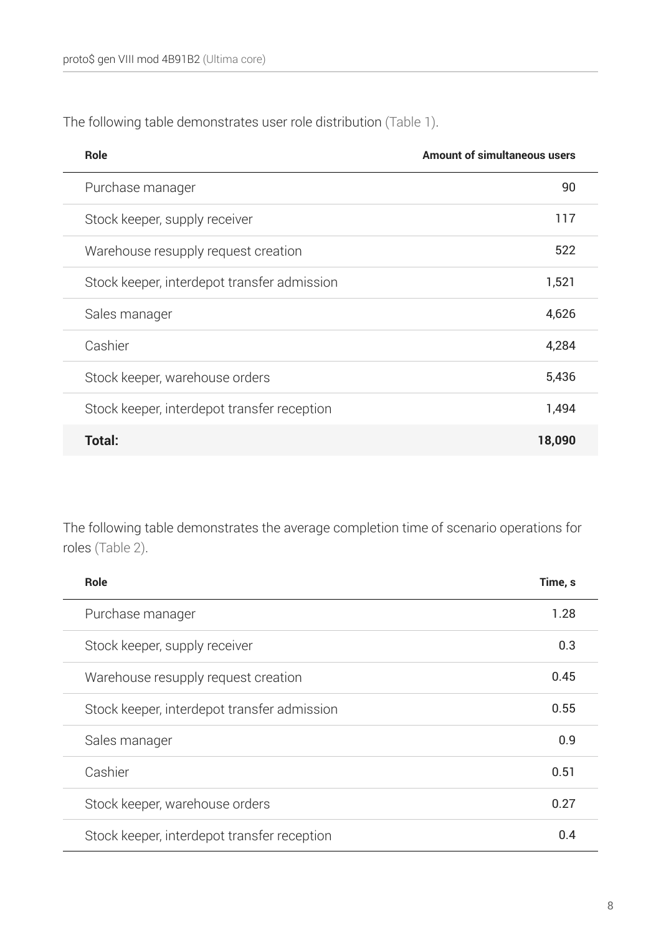The following table demonstrates user role distribution (Table 1).

| <b>Role</b>                                 | <b>Amount of simultaneous users</b> |
|---------------------------------------------|-------------------------------------|
| Purchase manager                            | 90                                  |
| Stock keeper, supply receiver               | 117                                 |
| Warehouse resupply request creation         | 522                                 |
| Stock keeper, interdepot transfer admission | 1,521                               |
| Sales manager                               | 4,626                               |
| Cashier                                     | 4,284                               |
| Stock keeper, warehouse orders              | 5,436                               |
| Stock keeper, interdepot transfer reception | 1,494                               |
| Total:                                      | 18,090                              |

The following table demonstrates the average completion time of scenario operations for roles (Table 2).

| <b>Role</b>                                 | Time, s |
|---------------------------------------------|---------|
| Purchase manager                            | 1.28    |
| Stock keeper, supply receiver               | 0.3     |
| Warehouse resupply request creation         | 0.45    |
| Stock keeper, interdepot transfer admission | 0.55    |
| Sales manager                               | 0.9     |
| Cashier                                     | 0.51    |
| Stock keeper, warehouse orders              | 0.27    |
| Stock keeper, interdepot transfer reception | 0.4     |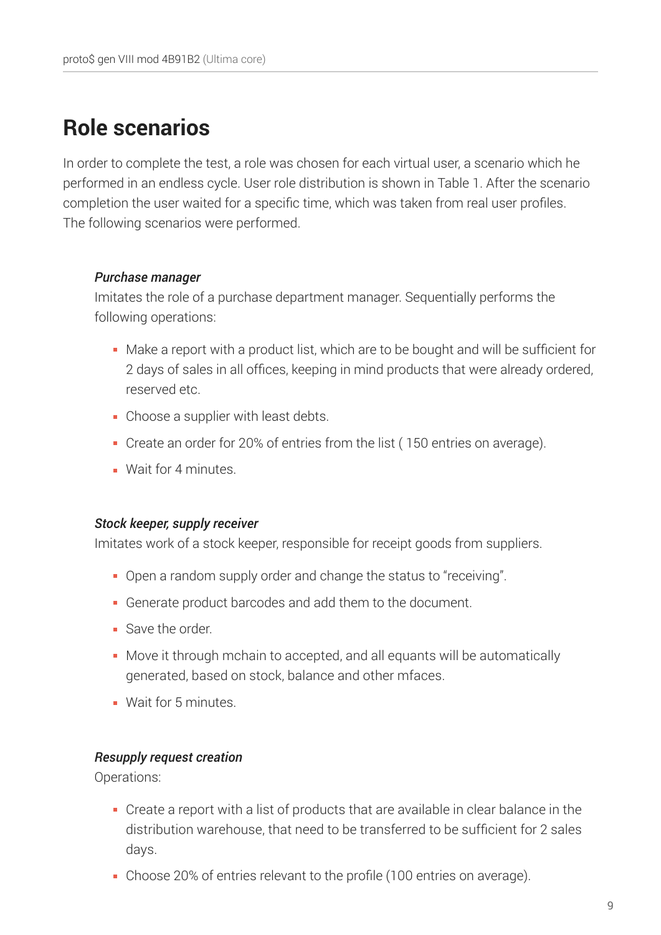# **Role scenarios**

In order to complete the test, a role was chosen for each virtual user, a scenario which he performed in an endless cycle. User role distribution is shown in Table 1. After the scenario completion the user waited for a specific time, which was taken from real user profiles. The following scenarios were performed.

### *Purchase manager*

Imitates the role of a purchase department manager. Sequentially performs the following operations:

- Make a report with a product list, which are to be bought and will be sufficient for 2 days of sales in all offices, keeping in mind products that were already ordered, reserved etc.
- Choose a supplier with least debts.
- Create an order for 20% of entries from the list ( 150 entries on average).
- **Wait for 4 minutes.**

### *Stock keeper, supply receiver*

Imitates work of a stock keeper, responsible for receipt goods from suppliers.

- Open a random supply order and change the status to "receiving".
- Generate product barcodes and add them to the document.
- Save the order
- Move it through mchain to accepted, and all equants will be automatically generated, based on stock, balance and other mfaces.
- **Wait for 5 minutes**

### *Resupply request creation*

Operations:

- Create a report with a list of products that are available in clear balance in the distribution warehouse, that need to be transferred to be sufficient for 2 sales days.
- Choose 20% of entries relevant to the profile (100 entries on average).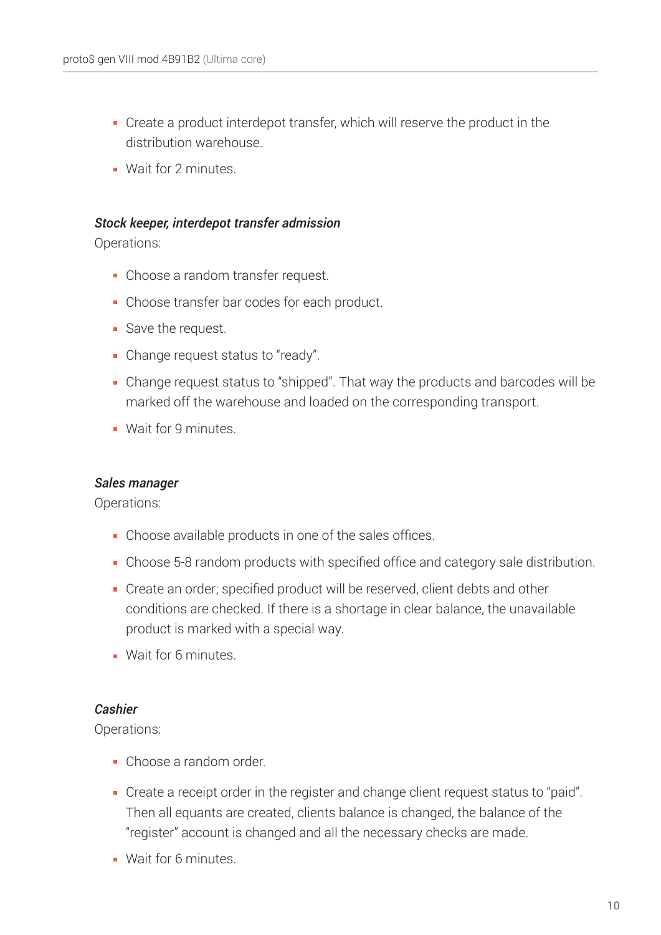- Create a product interdepot transfer, which will reserve the product in the distribution warehouse.
- **Wait for 2 minutes**

### *Stock keeper, interdepot transfer admission*

Operations:

- Choose a random transfer request.
- Choose transfer bar codes for each product.
- Save the request.
- Change request status to "ready".
- Change request status to "shipped". That way the products and barcodes will be marked off the warehouse and loaded on the corresponding transport.
- **Wait for 9 minutes.**

### *Sales manager*

Operations:

- Choose available products in one of the sales offices.
- Choose 5-8 random products with specified office and category sale distribution.
- Create an order; specified product will be reserved, client debts and other conditions are checked. If there is a shortage in clear balance, the unavailable product is marked with a special way.
- **Wait for 6 minutes**

### *Cashier*

Operations:

- Choose a random order.
- Create a receipt order in the register and change client request status to "paid". Then all equants are created, clients balance is changed, the balance of the "register" account is changed and all the necessary checks are made.
- **Wait for 6 minutes.**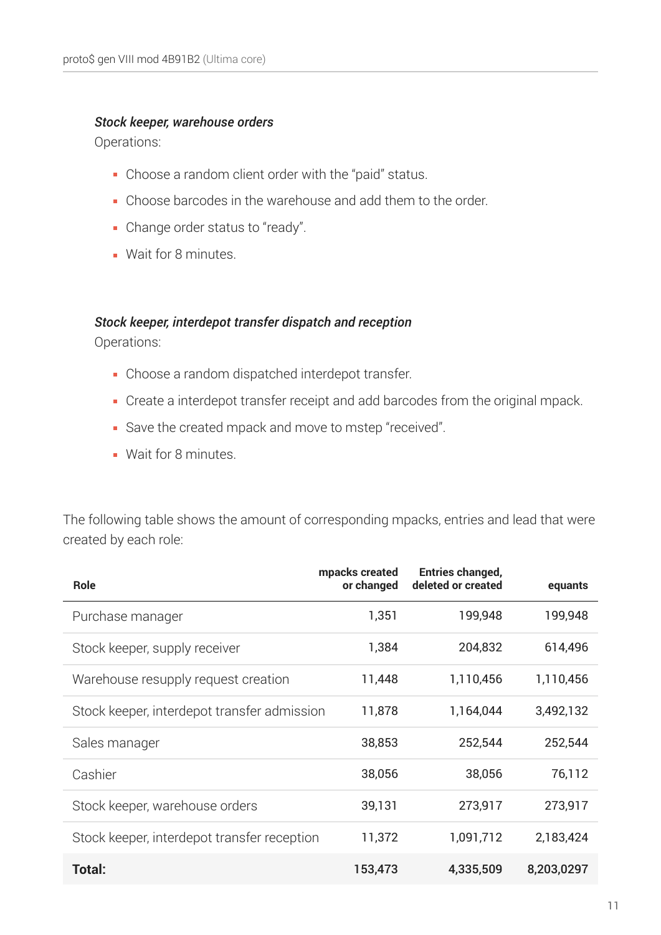### *Stock keeper, warehouse orders*

Operations:

- Choose a random client order with the "paid" status.
- Choose barcodes in the warehouse and add them to the order.
- Change order status to "ready".
- **Wait for 8 minutes.**

### *Stock keeper, interdepot transfer dispatch and reception*

Operations:

- Choose a random dispatched interdepot transfer.
- Create a interdepot transfer receipt and add barcodes from the original mpack.
- Save the created mpack and move to mstep "received".
- **Wait for 8 minutes.**

The following table shows the amount of corresponding mpacks, entries and lead that were created by each role:

| <b>Role</b>                                 | mpacks created<br>or changed | <b>Entries changed,</b><br>deleted or created | equants    |
|---------------------------------------------|------------------------------|-----------------------------------------------|------------|
| Purchase manager                            | 1,351                        | 199,948                                       | 199,948    |
| Stock keeper, supply receiver               | 1,384                        | 204,832                                       | 614,496    |
| Warehouse resupply request creation         | 11,448                       | 1,110,456                                     | 1,110,456  |
| Stock keeper, interdepot transfer admission | 11,878                       | 1,164,044                                     | 3,492,132  |
| Sales manager                               | 38,853                       | 252,544                                       | 252,544    |
| Cashier                                     | 38,056                       | 38,056                                        | 76,112     |
| Stock keeper, warehouse orders              | 39,131                       | 273,917                                       | 273,917    |
| Stock keeper, interdepot transfer reception | 11,372                       | 1,091,712                                     | 2,183,424  |
| Total:                                      | 153,473                      | 4,335,509                                     | 8,203,0297 |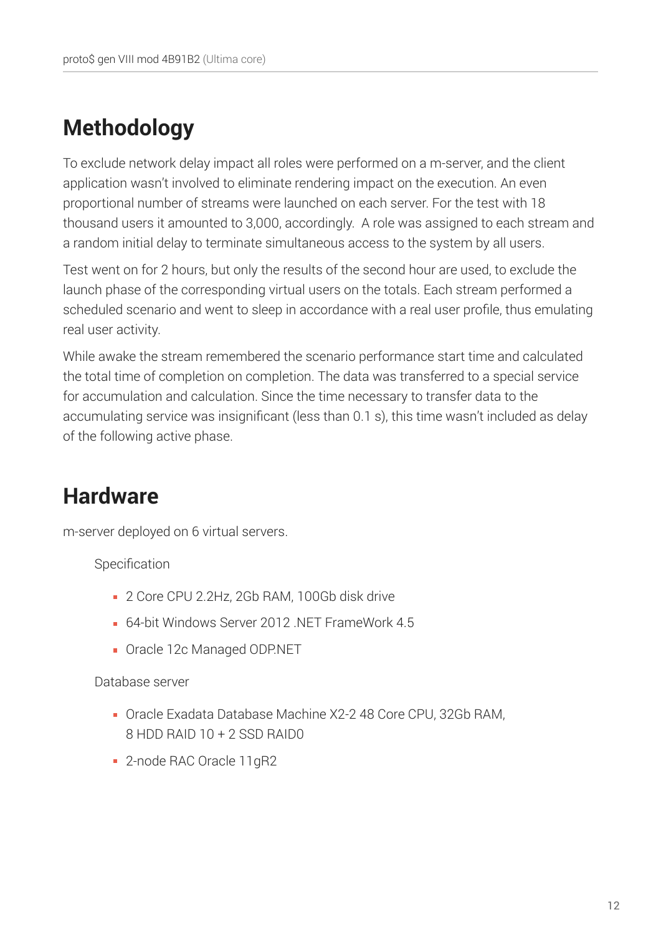# **Methodology**

To exclude network delay impact all roles were performed on a m-server, and the client application wasn't involved to eliminate rendering impact on the execution. An even proportional number of streams were launched on each server. For the test with 18 thousand users it amounted to 3,000, accordingly. A role was assigned to each stream and a random initial delay to terminate simultaneous access to the system by all users.

Test went on for 2 hours, but only the results of the second hour are used, to exclude the launch phase of the corresponding virtual users on the totals. Each stream performed a scheduled scenario and went to sleep in accordance with a real user profile, thus emulating real user activity.

While awake the stream remembered the scenario performance start time and calculated the total time of completion on completion. The data was transferred to a special service for accumulation and calculation. Since the time necessary to transfer data to the accumulating service was insignificant (less than 0.1 s), this time wasn't included as delay of the following active phase.

# **Hardware**

m-server deployed on 6 virtual servers.

Specification

- 2 Core CPU 2.2Hz, 2Gb RAM, 100Gb disk drive
- **64-bit Windows Server 2012 NFT FrameWork 4.5**
- Oracle 12c Managed ODP.NET

Database server

- Oracle Exadata Database Machine X2-2 48 Core CPU, 32Gb RAM, 8 HDD RAID 10 + 2 SSD RAID0
- 2-node RAC Oracle 11gR2